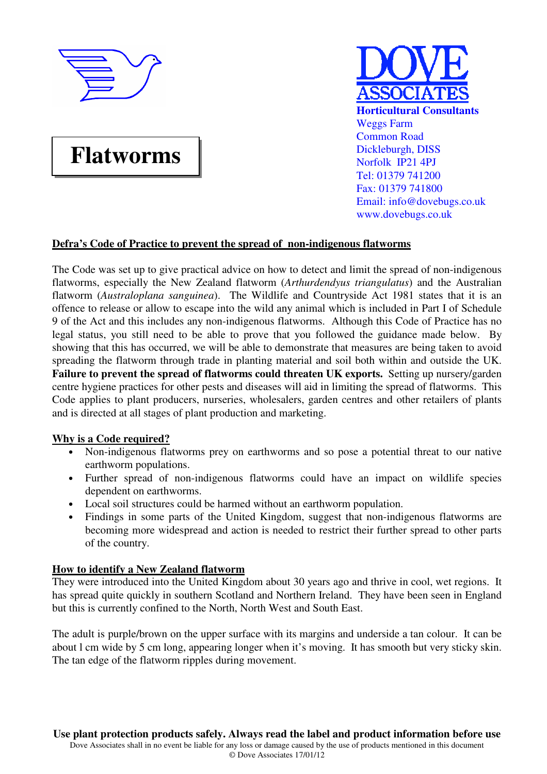

# **Flatworms**



# **Defra's Code of Practice to prevent the spread of non-indigenous flatworms**

The Code was set up to give practical advice on how to detect and limit the spread of non-indigenous flatworms, especially the New Zealand flatworm (*Arthurdendyus triangulatus*) and the Australian flatworm (*Australoplana sanguinea*). The Wildlife and Countryside Act 1981 states that it is an offence to release or allow to escape into the wild any animal which is included in Part I of Schedule 9 of the Act and this includes any non-indigenous flatworms. Although this Code of Practice has no legal status, you still need to be able to prove that you followed the guidance made below. By showing that this has occurred, we will be able to demonstrate that measures are being taken to avoid spreading the flatworm through trade in planting material and soil both within and outside the UK. **Failure to prevent the spread of flatworms could threaten UK exports.** Setting up nursery/garden centre hygiene practices for other pests and diseases will aid in limiting the spread of flatworms. This Code applies to plant producers, nurseries, wholesalers, garden centres and other retailers of plants and is directed at all stages of plant production and marketing.

# **Why is a Code required?**

- Non-indigenous flatworms prey on earthworms and so pose a potential threat to our native earthworm populations.
- Further spread of non-indigenous flatworms could have an impact on wildlife species dependent on earthworms.
- Local soil structures could be harmed without an earthworm population.
- Findings in some parts of the United Kingdom, suggest that non-indigenous flatworms are becoming more widespread and action is needed to restrict their further spread to other parts of the country.

# **How to identify a New Zealand flatworm**

They were introduced into the United Kingdom about 30 years ago and thrive in cool, wet regions. It has spread quite quickly in southern Scotland and Northern Ireland. They have been seen in England but this is currently confined to the North, North West and South East.

The adult is purple/brown on the upper surface with its margins and underside a tan colour. It can be about l cm wide by 5 cm long, appearing longer when it's moving. It has smooth but very sticky skin. The tan edge of the flatworm ripples during movement.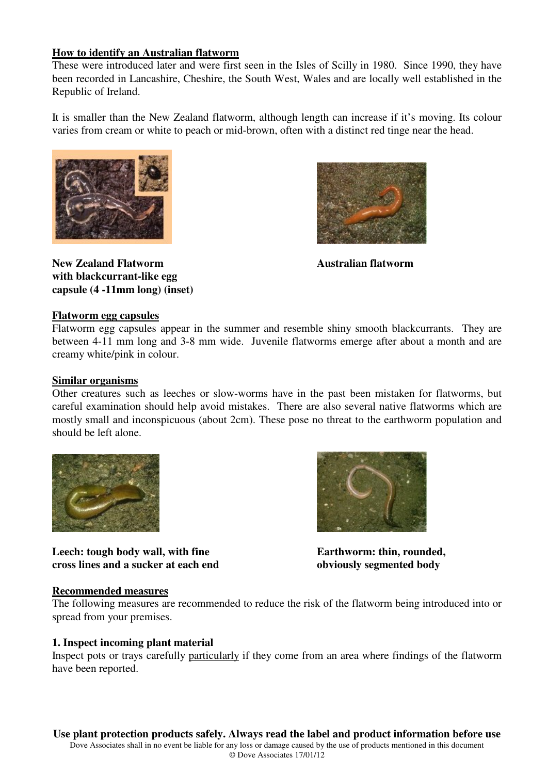# **How to identify an Australian flatworm**

These were introduced later and were first seen in the Isles of Scilly in 1980. Since 1990, they have been recorded in Lancashire, Cheshire, the South West, Wales and are locally well established in the Republic of Ireland.

It is smaller than the New Zealand flatworm, although length can increase if it's moving. Its colour varies from cream or white to peach or mid-brown, often with a distinct red tinge near the head.



**New Zealand Flatworm Australian flatworm Australian flatworm with blackcurrant-like egg capsule (4 -11mm long) (inset)** 

## **Flatworm egg capsules**

Flatworm egg capsules appear in the summer and resemble shiny smooth blackcurrants. They are between 4-11 mm long and 3-8 mm wide. Juvenile flatworms emerge after about a month and are creamy white/pink in colour.

## **Similar organisms**

Other creatures such as leeches or slow-worms have in the past been mistaken for flatworms, but careful examination should help avoid mistakes. There are also several native flatworms which are mostly small and inconspicuous (about 2cm). These pose no threat to the earthworm population and should be left alone.



Leech: tough body wall, with fine **Earthworm: thin, rounded**, **cross lines and a sucker at each end obviously segmented body** 



#### **Recommended measures**

The following measures are recommended to reduce the risk of the flatworm being introduced into or spread from your premises.

#### **1. Inspect incoming plant material**

Inspect pots or trays carefully particularly if they come from an area where findings of the flatworm have been reported.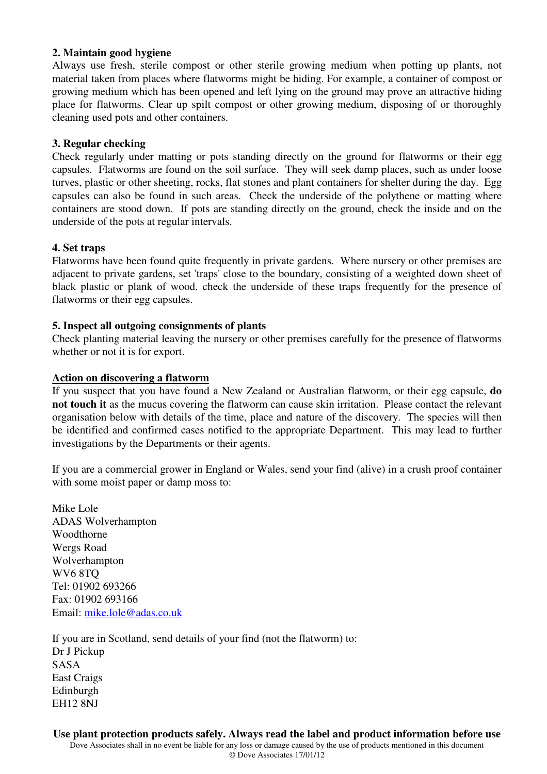## **2. Maintain good hygiene**

Always use fresh, sterile compost or other sterile growing medium when potting up plants, not material taken from places where flatworms might be hiding. For example, a container of compost or growing medium which has been opened and left lying on the ground may prove an attractive hiding place for flatworms. Clear up spilt compost or other growing medium, disposing of or thoroughly cleaning used pots and other containers.

# **3. Regular checking**

Check regularly under matting or pots standing directly on the ground for flatworms or their egg capsules. Flatworms are found on the soil surface. They will seek damp places, such as under loose turves, plastic or other sheeting, rocks, flat stones and plant containers for shelter during the day. Egg capsules can also be found in such areas. Check the underside of the polythene or matting where containers are stood down. If pots are standing directly on the ground, check the inside and on the underside of the pots at regular intervals.

# **4. Set traps**

Flatworms have been found quite frequently in private gardens. Where nursery or other premises are adjacent to private gardens, set 'traps' close to the boundary, consisting of a weighted down sheet of black plastic or plank of wood. check the underside of these traps frequently for the presence of flatworms or their egg capsules.

# **5. Inspect all outgoing consignments of plants**

Check planting material leaving the nursery or other premises carefully for the presence of flatworms whether or not it is for export.

# **Action on discovering a flatworm**

If you suspect that you have found a New Zealand or Australian flatworm, or their egg capsule, **do not touch it** as the mucus covering the flatworm can cause skin irritation. Please contact the relevant organisation below with details of the time, place and nature of the discovery. The species will then be identified and confirmed cases notified to the appropriate Department. This may lead to further investigations by the Departments or their agents.

If you are a commercial grower in England or Wales, send your find (alive) in a crush proof container with some moist paper or damp moss to:

Mike Lole ADAS Wolverhampton Woodthorne Wergs Road Wolverhampton WV6 8TQ Tel: 01902 693266 Fax: 01902 693166 Email: mike.lole@adas.co.uk

If you are in Scotland, send details of your find (not the flatworm) to: Dr J Pickup SASA East Craigs Edinburgh EH12 8NJ